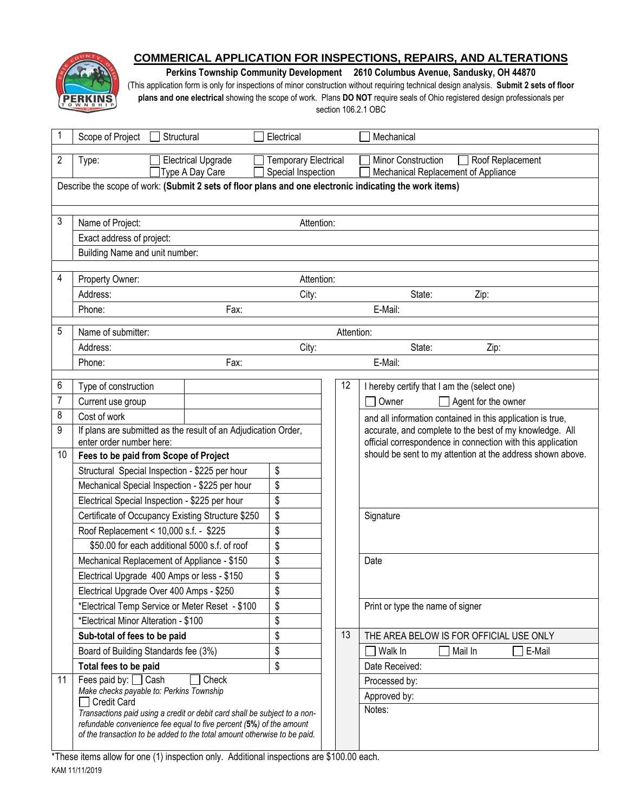

# **COMMERICAL APPLICATION FOR INSPECTIONS, REPAIRS, AND ALTERATIONS**

**Perkins Township Community Development 2610 Columbus Avenue, Sandusky, OH 44870**

(This application form is only for inspections of minor construction without requiring technical design analysis. **Submit 2 sets of floor plans and one electrical** showing the scope of work. Plans **DO NOT** require seals of Ohio registered design professionals per section 106.2.1 OBC

| 1                                                                                                       | Scope of Project<br>Structural                                                                                                                  | Electrical                                        |    | Mechanical                                                                                                                                                                           |  |
|---------------------------------------------------------------------------------------------------------|-------------------------------------------------------------------------------------------------------------------------------------------------|---------------------------------------------------|----|--------------------------------------------------------------------------------------------------------------------------------------------------------------------------------------|--|
| 2                                                                                                       | <b>Electrical Upgrade</b><br>Type:<br>Type A Day Care                                                                                           | <b>Temporary Electrical</b><br>Special Inspection |    | <b>Minor Construction</b><br>Roof Replacement<br>Mechanical Replacement of Appliance                                                                                                 |  |
| Describe the scope of work: (Submit 2 sets of floor plans and one electronic indicating the work items) |                                                                                                                                                 |                                                   |    |                                                                                                                                                                                      |  |
|                                                                                                         |                                                                                                                                                 |                                                   |    |                                                                                                                                                                                      |  |
|                                                                                                         |                                                                                                                                                 |                                                   |    |                                                                                                                                                                                      |  |
| 3                                                                                                       | Name of Project:                                                                                                                                | Attention:                                        |    |                                                                                                                                                                                      |  |
|                                                                                                         | Exact address of project:                                                                                                                       |                                                   |    |                                                                                                                                                                                      |  |
|                                                                                                         | Building Name and unit number:                                                                                                                  |                                                   |    |                                                                                                                                                                                      |  |
| 4                                                                                                       | Property Owner:<br>Attention:                                                                                                                   |                                                   |    |                                                                                                                                                                                      |  |
|                                                                                                         | Address:                                                                                                                                        | City:<br>State:<br>Zip:                           |    |                                                                                                                                                                                      |  |
|                                                                                                         | Phone:<br>Fax:                                                                                                                                  |                                                   |    | E-Mail:                                                                                                                                                                              |  |
|                                                                                                         |                                                                                                                                                 |                                                   |    |                                                                                                                                                                                      |  |
| 5                                                                                                       | Name of submitter:<br>Attention:                                                                                                                |                                                   |    |                                                                                                                                                                                      |  |
|                                                                                                         | Address:                                                                                                                                        | City:                                             |    | State:<br>Zip:                                                                                                                                                                       |  |
|                                                                                                         | Phone:                                                                                                                                          | Fax:                                              |    | E-Mail:                                                                                                                                                                              |  |
| 6                                                                                                       | Type of construction                                                                                                                            |                                                   | 12 | I hereby certify that I am the (select one)                                                                                                                                          |  |
| $\overline{7}$                                                                                          | Current use group                                                                                                                               |                                                   |    | Owner<br>Agent for the owner                                                                                                                                                         |  |
| 8                                                                                                       | Cost of work                                                                                                                                    |                                                   |    | and all information contained in this application is true,                                                                                                                           |  |
| 9                                                                                                       | If plans are submitted as the result of an Adjudication Order,                                                                                  |                                                   |    | accurate, and complete to the best of my knowledge. All<br>official correspondence in connection with this application<br>should be sent to my attention at the address shown above. |  |
|                                                                                                         | enter order number here:                                                                                                                        |                                                   |    |                                                                                                                                                                                      |  |
| 10                                                                                                      | Fees to be paid from Scope of Project                                                                                                           |                                                   |    |                                                                                                                                                                                      |  |
|                                                                                                         | Structural Special Inspection - \$225 per hour                                                                                                  | \$                                                |    |                                                                                                                                                                                      |  |
|                                                                                                         | Mechanical Special Inspection - \$225 per hour                                                                                                  | \$                                                |    |                                                                                                                                                                                      |  |
|                                                                                                         | Electrical Special Inspection - \$225 per hour                                                                                                  | \$                                                |    |                                                                                                                                                                                      |  |
|                                                                                                         | Certificate of Occupancy Existing Structure \$250                                                                                               | \$                                                |    | Signature                                                                                                                                                                            |  |
|                                                                                                         | Roof Replacement < 10,000 s.f. - \$225                                                                                                          | \$                                                |    |                                                                                                                                                                                      |  |
|                                                                                                         | \$50.00 for each additional 5000 s.f. of roof                                                                                                   | \$                                                |    |                                                                                                                                                                                      |  |
|                                                                                                         | Mechanical Replacement of Appliance - \$150                                                                                                     | \$                                                |    | Date                                                                                                                                                                                 |  |
|                                                                                                         | Electrical Upgrade 400 Amps or less - \$150                                                                                                     | \$                                                |    |                                                                                                                                                                                      |  |
|                                                                                                         | Electrical Upgrade Over 400 Amps - \$250                                                                                                        | \$                                                |    |                                                                                                                                                                                      |  |
|                                                                                                         | *Electrical Temp Service or Meter Reset - \$100                                                                                                 | \$                                                |    | Print or type the name of signer                                                                                                                                                     |  |
|                                                                                                         | *Electrical Minor Alteration - \$100                                                                                                            | \$                                                |    |                                                                                                                                                                                      |  |
|                                                                                                         | Sub-total of fees to be paid                                                                                                                    | \$                                                | 13 | THE AREA BELOW IS FOR OFFICIAL USE ONLY                                                                                                                                              |  |
|                                                                                                         | Board of Building Standards fee (3%)                                                                                                            | \$                                                |    | Walk In<br>Mail In<br>E-Mail                                                                                                                                                         |  |
|                                                                                                         | Total fees to be paid                                                                                                                           | \$                                                |    | Date Received:                                                                                                                                                                       |  |
| 11                                                                                                      | Fees paid by: $\Box$ Cash<br>Check<br>Make checks payable to: Perkins Township                                                                  |                                                   |    | Processed by:                                                                                                                                                                        |  |
|                                                                                                         | Credit Card<br>Transactions paid using a credit or debit card shall be subject to a non-                                                        |                                                   |    | Approved by:                                                                                                                                                                         |  |
|                                                                                                         |                                                                                                                                                 |                                                   |    | Notes:                                                                                                                                                                               |  |
|                                                                                                         | refundable convenience fee equal to five percent (5%) of the amount<br>of the transaction to be added to the total amount otherwise to be paid. |                                                   |    |                                                                                                                                                                                      |  |
|                                                                                                         |                                                                                                                                                 |                                                   |    |                                                                                                                                                                                      |  |

KAM 11/11/2019 \*These items allow for one (1) inspection only. Additional inspections are \$100.00 each.